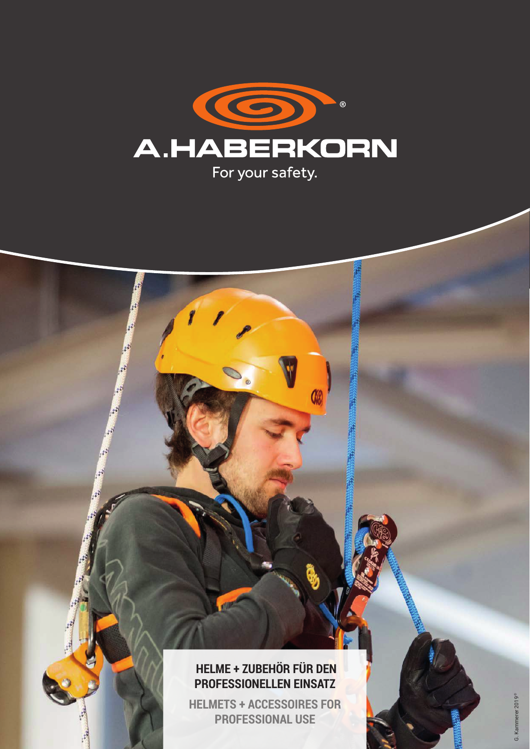

## **HELME + ZUBEHÖR FÜR DEN PROFESSIONELLEN EINSATZ**

**HELMETS + ACCESSOIRES FOR PROFESSIONAL USE**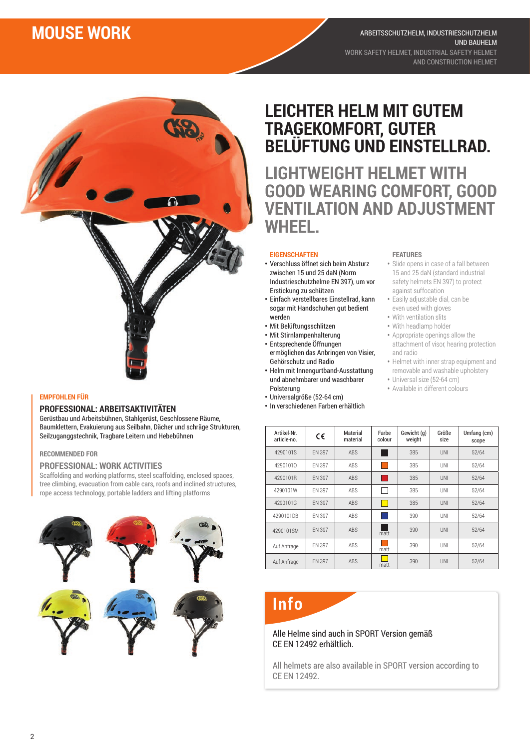

#### **EMPFOHLEN FÜR**

## **PROFESSIONAL: ARBEITSAKTIVITÄTEN**

Gerüstbau und Arbeitsbühnen, Stahlgerüst, Geschlossene Räume, Baumklettern, Evakuierung aus Seilbahn, Dächer und schräge Strukturen, Seilzuganggstechnik, Tragbare Leitern und Hebebühnen

## **RECOMMENDED FOR**

## **PROFESSIONAL: WORK ACTIVITIES**

Scaffolding and working platforms, steel scaffolding, enclosed spaces, tree climbing, evacuation from cable cars, roofs and inclined structures, rope access technology, portable ladders and lifting platforms



## **LEICHTER HELM MIT GUTEM TRAGEKOMFORT, GUTER BELÜFTUNG UND EINSTELLRAD.**

**LIGHTWEIGHT HELMET WITH GOOD WEARING COMFORT, GOOD VENTILATION AND ADJUSTMENT WHEEL.**

## **EIGENSCHAFTEN**

- **•** Verschluss öffnet sich beim Absturz zwischen 15 und 25 daN (Norm Industrieschutzhelme EN 397), um vor Erstickung zu schützen
- **•** Einfach verstellbares Einstellrad, kann sogar mit Handschuhen gut bedient werden
- **•** Mit Belüftungsschlitzen
- **•** Mit Stirnlampenhalterung
- **•** Entsprechende Öffnungen ermöglichen das Anbringen von Visier, Gehörschutz und Radio
- **•** Helm mit Innengurtband-Ausstattung und abnehmbarer und waschbarer Polsterung
- **•** Universalgröße (52-64 cm)
- **•** In verschiedenen Farben erhältlich

#### **FEATURES**

- **•** Slide opens in case of a fall between 15 and 25 daN (standard industrial safety helmets EN 397) to protect against suffocation
- **•** Easily adjustable dial, can be even used with gloves
- **•** With ventilation slits
- **•** With headlamp holder
- **•** Appropriate openings allow the attachment of visor, hearing protection and radio
- **•** Helmet with inner strap equipment and removable and washable upholstery
- **•** Universal size (52-64 cm)
- **•** Available in different colours

| Artikel-Nr.<br>article-no. | €             | Material<br>material | Farbe<br>colour        | Gewicht (g)<br>weight | Größe<br>size | Umfang (cm)<br>scope |
|----------------------------|---------------|----------------------|------------------------|-----------------------|---------------|----------------------|
| 4290101S                   | <b>EN 397</b> | ABS                  |                        | 385                   | UNI           | 52/64                |
| 42901010                   | FN 397        | <b>ABS</b>           |                        | 385                   | UNI           | 52/64                |
| 4290101R                   | <b>FN 397</b> | <b>ABS</b>           |                        | 385                   | UNI           | 52/64                |
| 4290101W                   | EN 397        | ABS                  |                        | 385                   | UNI           | 52/64                |
| 4290101G                   | <b>EN 397</b> | ABS                  | H                      | 385                   | <b>UNI</b>    | 52/64                |
| 4290101DB                  | EN 397        | <b>ABS</b>           | <b>Service Service</b> | 390                   | UNI           | 52/64                |
| 4290101SM                  | <b>FN 397</b> | ABS                  | matt                   | 390                   | UNI           | 52/64                |
| Auf Anfrage                | FN 397        | <b>ABS</b>           | matt                   | 390                   | UNI           | 52/64                |
| Auf Anfrage                | <b>EN 397</b> | ABS                  | matt                   | 390                   | UNI           | 52/64                |

# **Info**

## Alle Helme sind auch in SPORT Version gemäß CE EN 12492 erhältlich.

All helmets are also available in SPORT version according to CE EN 12492.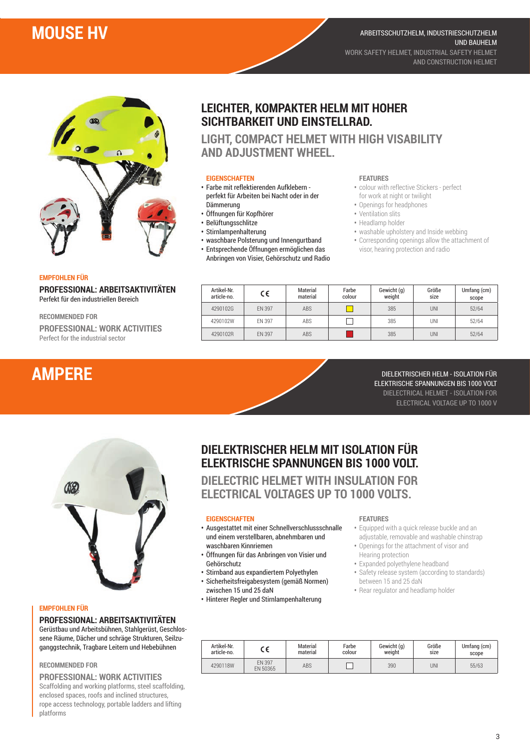## **MOUSE HV**



#### **EMPFOHLEN FÜR**

**PROFESSIONAL: ARBEITSAKTIVITÄTEN** Perfekt für den industriellen Bereich

**RECOMMENDED FOR**

**PROFESSIONAL: WORK ACTIVITIES** Perfect for the industrial sector

## **LEICHTER, KOMPAKTER HELM MIT HOHER SICHTBARKEIT UND EINSTELLRAD.**

**LIGHT, COMPACT HELMET WITH HIGH VISABILITY AND ADJUSTMENT WHEEL.**

#### **EIGENSCHAFTEN**

- **•** Farbe mit reflektierenden Aufklebern perfekt für Arbeiten bei Nacht oder in der Dämmerung
- **•** Öffnungen für Kopfhörer
- **•** Belüftungsschlitze
- **•** Stirnlampenhalterung
- **•** waschbare Polsterung und Innengurtband **•** Entsprechende Öffnungen ermöglichen das
- Anbringen von Visier, Gehörschutz und Radio

#### **FEATURES**

- **•** colour with reflective Stickers perfect for work at night or twilight
- **•** Openings for headphones
- **•** Ventilation slits
- **•** Headlamp holder
- **•** washable upholstery and Inside webbing
- **•** Corresponding openings allow the attachment of visor, hearing protection and radio

DIELEKTRISCHER HELM - ISOLATION FÜR DIELEKTRISCHER HELM - ISOLATION FUR<br>ELEKTRISCHE SPANNUNGEN BIS 1000 VOLT DIELECTRICAL HELMET - ISOLATION FOR ELECTRICAL VOLTAGE UP TO 1000 V

| Artikel-Nr.<br>article-no. | c٤            | Material<br>material | Farbe<br>colour | Gewicht (g)<br>weight | Größe<br>size | Umfang (cm)<br>scope |
|----------------------------|---------------|----------------------|-----------------|-----------------------|---------------|----------------------|
| 4290102G                   | <b>EN 397</b> | ABS                  |                 | 385                   | <b>UNI</b>    | 52/64                |
| 4290102W                   | FN 397        | ABS                  |                 | 385                   | UNI           | 52/64                |
| 4290102R                   | <b>EN 397</b> | ABS                  |                 | 385                   | <b>UNI</b>    | 52/64                |

# **ONELEKTRISCHER HELM - ISOLATION FÜR<br>
DIELECTRICAL HELMET - ISOLATION FÜR<br>
ELECTRICAL VOLTAGE UP TO 1000 V<br>
ELECTRICAL VOLTAGE UP TO 1000 V**



**EMPFOHLEN FÜR**

## **PROFESSIONAL: ARBEITSAKTIVITÄTEN**

Gerüstbau und Arbeitsbühnen, Stahlgerüst, Geschlossene Räume, Dächer und schräge Strukturen, Seilzuganggstechnik, Tragbare Leitern und Hebebühnen

#### **RECOMMENDED FOR**

## **PROFESSIONAL: WORK ACTIVITIES**

Scaffolding and working platforms, steel scaffolding, enclosed spaces, roofs and inclined structures, rope access technology, portable ladders and lifting platforms

## **DIELEKTRISCHER HELM MIT ISOLATION FÜR ELEKTRISCHE SPANNUNGEN BIS 1000 VOLT.**

**DIELECTRIC HELMET WITH INSULATION FOR ELECTRICAL VOLTAGES UP TO 1000 VOLTS.**

#### **EIGENSCHAFTEN**

- **•** Ausgestattet mit einer Schnellverschlussschnalle und einem verstellbaren, abnehmbaren und waschbaren Kinnriemen
- **•** Öffnungen für das Anbringen von Visier und Gehörschutz
- **•** Stirnband aus expandiertem Polyethylen
- **•** Sicherheitsfreigabesystem (gemäß Normen) zwischen 15 und 25 daN
- **•** Hinterer Regler und Stirnlampenhalterung

## **FEATURES**

- **•** Equipped with a quick release buckle and an adjustable, removable and washable chinstrap
- **•** Openings for the attachment of visor and Hearing protection
- **•** Expanded polyethylene headband
- **•** Safety release system (according to standards) between 15 and 25 daN
- **•** Rear regulator and headlamp holder

| Artikel-Nr.<br>article-no. | ، '                       | Material<br>material | Farbe<br>colour | Gewicht (g)<br>weight | Größe<br>size | Umfang (cm)<br>scope |
|----------------------------|---------------------------|----------------------|-----------------|-----------------------|---------------|----------------------|
| 4290118W                   | <b>EN 397</b><br>EN 50365 | ABS                  |                 | 390                   | UNI           | 55/63                |